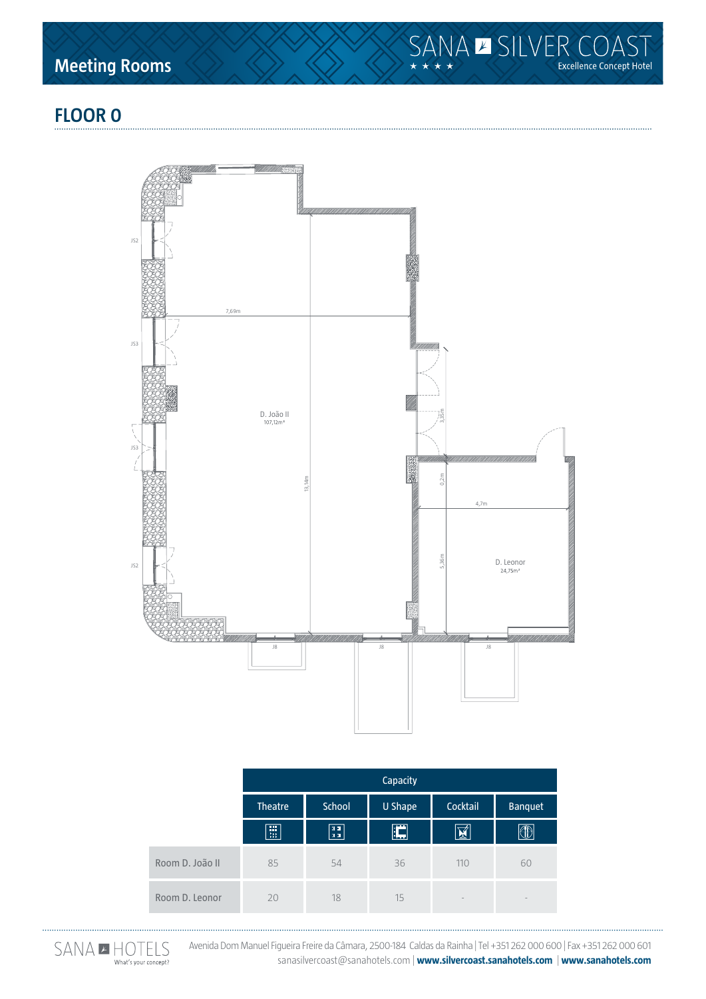**Meeting Rooms**



# **floor 0**



|                 | Capacity       |               |                |          |                |
|-----------------|----------------|---------------|----------------|----------|----------------|
|                 | <b>Theatre</b> | <b>School</b> | <b>U Shape</b> | Cocktail | <b>Banquet</b> |
|                 | 圓              | $\boxed{11}$  | E              | 図        |                |
| Room D. João II | 85             | 54            | 36             | 110      | 60             |
| Room D. Leonor  | 20             | 18            | 15             | $\sim$   | $\sim$         |



Avenida Dom Manuel Figueira Freire da Câmara, 2500-184 Caldas da Rainha | Tel +351 262 000 600 | Fax +351 262 000 601 sanasilvercoast@sanahotels.com | **www.silvercoast.sanahotels.com** | **www.sanahotels.com**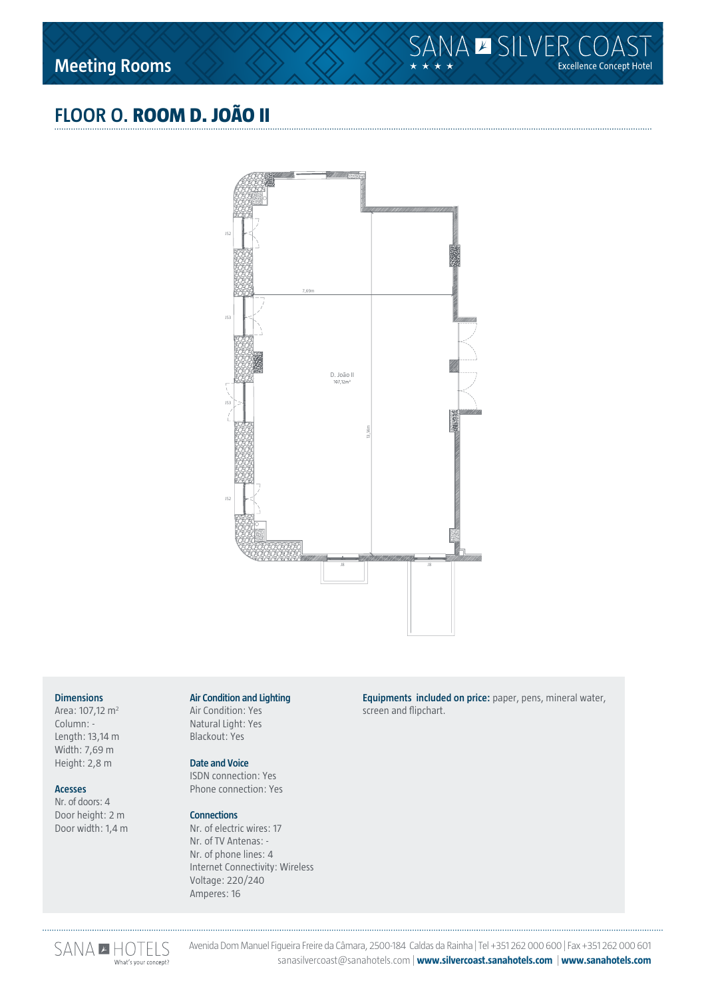# **floor o. room D. joão ii**



#### **Dimensions**

Area: 107,12 m2 Column: - Length: 13,14 m Width: 7,69 m Height: 2,8 m

#### **Acesses**

Nr. of doors: 4 Door height: 2 m Door width: 1,4 m

## **Air Condition and Lighting**

Air Condition: Yes Natural Light: Yes Blackout: Yes

#### **Date and Voice**

ISDN connection: Yes Phone connection: Yes

#### **Connections**

Nr. of electric wires: 17 Nr. of TV Antenas: - Nr. of phone lines: 4 Internet Connectivity: Wireless Voltage: 220/240 Amperes: 16

**Equipments included on price:** paper, pens, mineral water, screen and flipchart.



Avenida Dom Manuel Figueira Freire da Câmara, 2500-184 Caldas da Rainha | Tel +351 262 000 600 | Fax +351 262 000 601 sanasilvercoast@sanahotels.com | **www.silvercoast.sanahotels.com** | **www.sanahotels.com**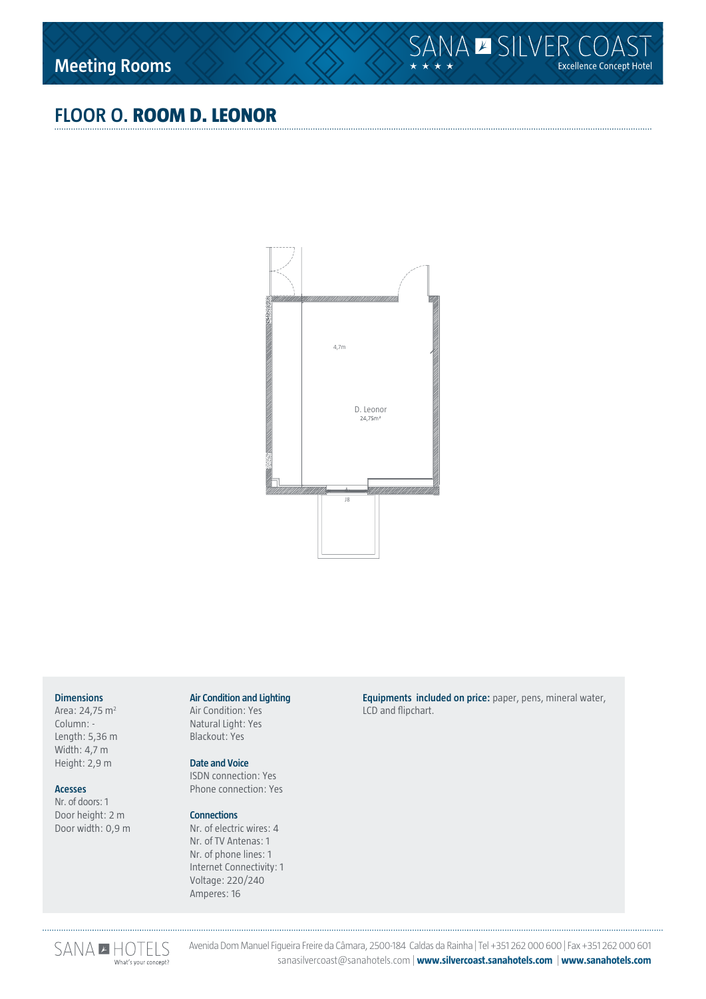# **floor o. room D. Leonor**



#### **Dimensions**

Area: 24,75 m<sup>2</sup> Column: - Length: 5,36 m Width: 4,7 m Height: 2,9 m

#### **Acesses**

Nr. of doors: 1 Door height: 2 m Door width: 0,9 m

#### **Air Condition and Lighting**

Air Condition: Yes Natural Light: Yes Blackout: Yes

#### **Date and Voice**

ISDN connection: Yes Phone connection: Yes

#### **Connections**

Nr. of electric wires: 4 Nr. of TV Antenas: 1 Nr. of phone lines: 1 Internet Connectivity: 1 Voltage: 220/240 Amperes: 16

**Equipments included on price:** paper, pens, mineral water, LCD and flipchart.



Avenida Dom Manuel Figueira Freire da Câmara, 2500-184 Caldas da Rainha | Tel +351 262 000 600 | Fax +351 262 000 601 sanasilvercoast@sanahotels.com | **www.silvercoast.sanahotels.com** | **www.sanahotels.com**